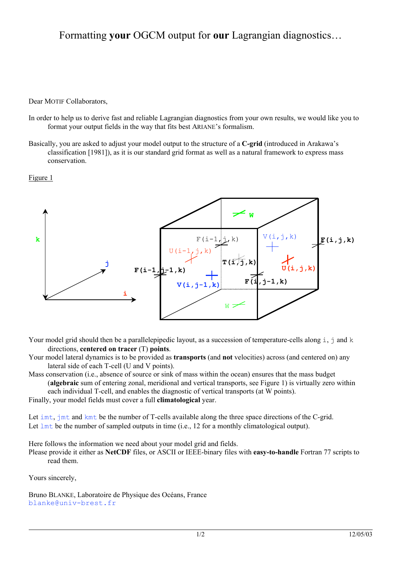# Formatting **your** OGCM output for **our** Lagrangian diagnostics…

Dear MOTIF Collaborators,

- In order to help us to derive fast and reliable Lagrangian diagnostics from your own results, we would like you to format your output fields in the way that fits best ARIANE's formalism.
- Basically, you are asked to adjust your model output to the structure of a **C-grid** (introduced in Arakawa's classification [1981]), as it is our standard grid format as well as a natural framework to express mass conservation.





Your model grid should then be a parallelepipedic layout, as a succession of temperature-cells along i, j and k directions, **centered on tracer** (T) **points**.

Your model lateral dynamics is to be provided as **transports** (and **not** velocities) across (and centered on) any lateral side of each T-cell (U and V points).

Mass conservation (i.e., absence of source or sink of mass within the ocean) ensures that the mass budget (**algebraic** sum of entering zonal, meridional and vertical transports, see Figure 1) is virtually zero within each individual T-cell, and enables the diagnostic of vertical transports (at W points).

Finally, your model fields must cover a full **climatological** year.

Let imt, jmt and kmt be the number of T-cells available along the three space directions of the C-grid. Let  $l$ mt be the number of sampled outputs in time (i.e., 12 for a monthly climatological output).

Here follows the information we need about your model grid and fields.

Please provide it either as **NetCDF** files, or ASCII or IEEE-binary files with **easy-to-handle** Fortran 77 scripts to read them.

Yours sincerely,

Bruno BLANKE, Laboratoire de Physique des Océans, France blanke@univ-brest.fr